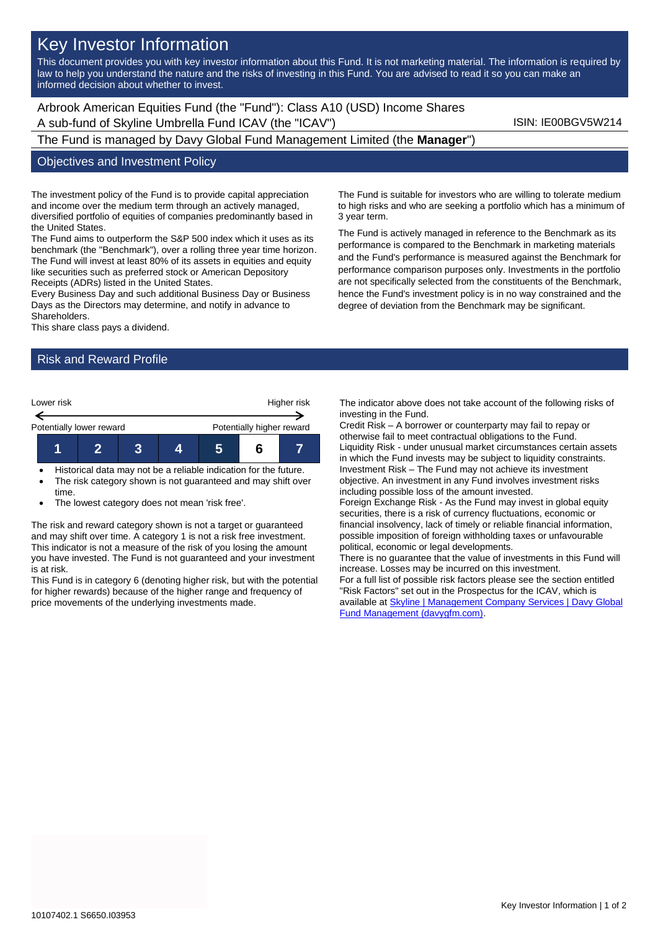# Key Investor Information

This document provides you with key investor information about this Fund. It is not marketing material. The information is required by law to help you understand the nature and the risks of investing in this Fund. You are advised to read it so you can make an informed decision about whether to invest.

Arbrook American Equities Fund (the "Fund"): Class A10 (USD) Income Shares A sub-fund of Skyline Umbrella Fund ICAV (the "ICAV") Sub-fund iSIN: IE00BGV5W214

The Fund is managed by Davy Global Fund Management Limited (the **Manager**")

#### Objectives and Investment Policy

The investment policy of the Fund is to provide capital appreciation and income over the medium term through an actively managed, diversified portfolio of equities of companies predominantly based in the United States.

The Fund aims to outperform the S&P 500 index which it uses as its benchmark (the "Benchmark"), over a rolling three year time horizon. The Fund will invest at least 80% of its assets in equities and equity like securities such as preferred stock or American Depository Receipts (ADRs) listed in the United States.

Every Business Day and such additional Business Day or Business Days as the Directors may determine, and notify in advance to Shareholders.

This share class pays a dividend.

## Risk and Reward Profile



• Historical data may not be a reliable indication for the future.

- The risk category shown is not guaranteed and may shift over time.
- The lowest category does not mean 'risk free'.

The risk and reward category shown is not a target or guaranteed and may shift over time. A category 1 is not a risk free investment. This indicator is not a measure of the risk of you losing the amount you have invested. The Fund is not guaranteed and your investment is at risk.

This Fund is in category 6 (denoting higher risk, but with the potential for higher rewards) because of the higher range and frequency of price movements of the underlying investments made.

The Fund is suitable for investors who are willing to tolerate medium to high risks and who are seeking a portfolio which has a minimum of 3 year term.

The Fund is actively managed in reference to the Benchmark as its performance is compared to the Benchmark in marketing materials and the Fund's performance is measured against the Benchmark for performance comparison purposes only. Investments in the portfolio are not specifically selected from the constituents of the Benchmark, hence the Fund's investment policy is in no way constrained and the degree of deviation from the Benchmark may be significant.

The indicator above does not take account of the following risks of investing in the Fund.

Credit Risk – A borrower or counterparty may fail to repay or otherwise fail to meet contractual obligations to the Fund. Liquidity Risk - under unusual market circumstances certain assets in which the Fund invests may be subject to liquidity constraints. Investment Risk – The Fund may not achieve its investment objective. An investment in any Fund involves investment risks including possible loss of the amount invested.

Foreign Exchange Risk - As the Fund may invest in global equity securities, there is a risk of currency fluctuations, economic or financial insolvency, lack of timely or reliable financial information, possible imposition of foreign withholding taxes or unfavourable political, economic or legal developments.

There is no guarantee that the value of investments in this Fund will increase. Losses may be incurred on this investment.

For a full list of possible risk factors please see the section entitled "Risk Factors" set out in the Prospectus for the ICAV, which is available a[t Skyline | Management Company Services | Davy Global](https://www.davygfm.com/funds-factsheets/management-company-services/ireland/skyline.html)  [Fund Management \(davygfm.com\).](https://www.davygfm.com/funds-factsheets/management-company-services/ireland/skyline.html)